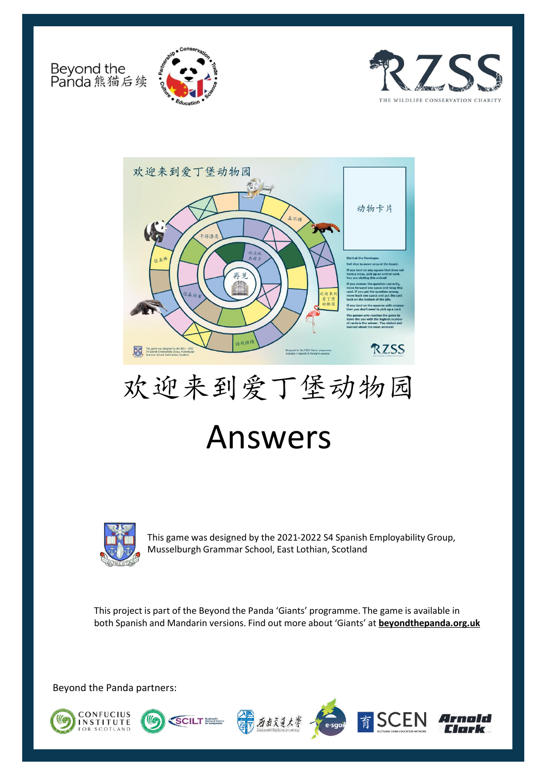Beyond the<br>Panda 熊猫后续







# 欢迎来到爱丁堡动物园 Answers



This game was designed by the 2021-2022 S4 Spanish Employability Group, Musselburgh Grammar School, East Lothian, Scotland

This project is part of the Beyond the Panda 'Giants' programme. The game is available in both Spanish and Mandarin versions. Find out more about 'Giants' at **[beyondthepanda.org.uk](https://learning.rzss.org.uk/course/view.php?id=21)** 

Beyond the Panda partners:









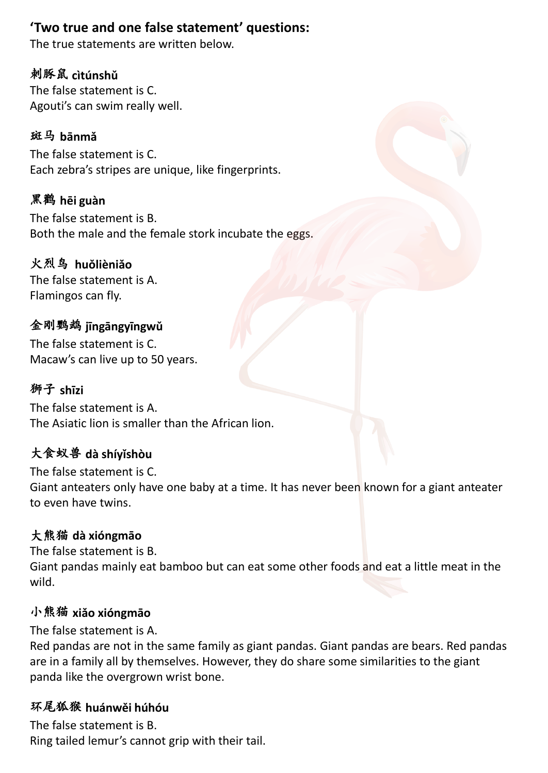# **'Two true and one false statement' questions:**

The true statements are written below.

## 刺豚鼠 **cìtúnshǔ**

The false statement is C. Agouti's can swim really well.

#### 斑马 **bānmǎ**

The false statement is C. Each zebra's stripes are unique, like fingerprints.

## 黑鹳 **hēi guàn**

The false statement is B. Both the male and the female stork incubate the eggs.

### 火烈鸟 **huǒlièniǎo**

The false statement is A. Flamingos can fly.

#### 金刚鹦鹉 **jīngāngyīngwǔ** The false statement is C.

Macaw's can live up to 50 years.

### 狮子 **shīzi**

The false statement is A. The Asiatic lion is smaller than the African lion.

## 大食蚁兽 **dà shíyǐshòu**

The false statement is C. Giant anteaters only have one baby at a time. It has never been known for a giant anteater to even have twins.

### 大熊猫 **dà xióngmāo**

The false statement is B. Giant pandas mainly eat bamboo but can eat some other foods and eat a little meat in the wild.

#### 小熊猫 **xiǎo xióngmāo**

The false statement is A.

Red pandas are not in the same family as giant pandas. Giant pandas are bears. Red pandas are in a family all by themselves. However, they do share some similarities to the giant panda like the overgrown wrist bone.

#### 环尾狐猴 **huánwěi húhóu**

The false statement is B. Ring tailed lemur's cannot grip with their tail.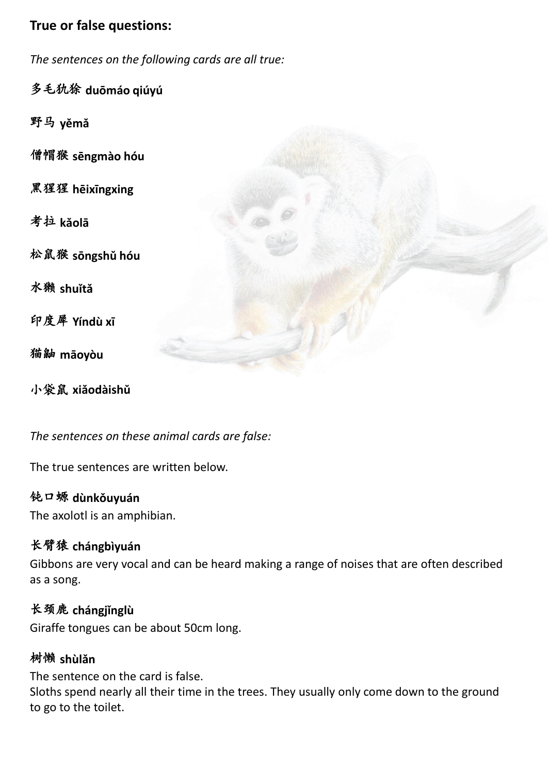## **True or false questions:**

*The sentences on the following cards are all true:*

多毛犰狳 **duōmáo qiúyú**

野马 **yěmǎ**

僧帽猴 **sēngmào hóu**

黑猩猩 **hēixīngxing**

考拉 **kǎolā**

松鼠猴 **sōngshǔ hóu**

水獭 **shuǐtǎ**

印度犀 **Yíndù xī**

猫鼬 **māoyòu**

小袋鼠 **xiǎodàishǔ**



*The sentences on these animal cards are false:* 

The true sentences are written below.

#### 钝口螈 **dùnkǒuyuán**

The axolotl is an amphibian.

### 长臂猿 **chángbìyuán**

Gibbons are very vocal and can be heard making a range of noises that are often described as a song.

### 长颈鹿 **chángjǐnglù**

Giraffe tongues can be about 50cm long.

#### 树懒 **shùlǎn**

The sentence on the card is false.

Sloths spend nearly all their time in the trees. They usually only come down to the ground to go to the toilet.